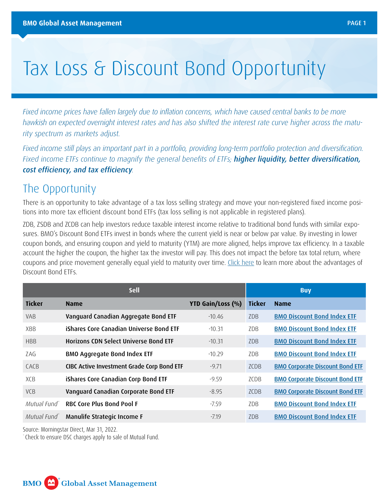# Tax Loss & Discount Bond Opportunity

*Fixed income prices have fallen largely due to inflation concerns, which have caused central banks to be more hawkish on expected overnight interest rates and has also shifted the interest rate curve higher across the maturity spectrum as markets adjust.* 

*Fixed income still plays an important part in a portfolio, providing long-term portfolio protection and diversification. Fixed income ETFs continue to magnify the general benefits of ETFs; higher liquidity, better diversification, cost efficiency, and tax efficiency.* 

### The Opportunity

There is an opportunity to take advantage of a tax loss selling strategy and move your non-registered fixed income positions into more tax efficient discount bond ETFs (tax loss selling is not applicable in registered plans).

ZDB, ZSDB and ZCDB can help investors reduce taxable interest income relative to traditional bond funds with similar exposures. BMO's Discount Bond ETFs invest in bonds where the current yield is near or below par value. By investing in lower coupon bonds, and ensuring coupon and yield to maturity (YTM) are more aligned, helps improve tax efficiency. In a taxable account the higher the coupon, the higher tax the investor will pay. This does not impact the before tax total return, where coupons and price movement generally equal yield to maturity over time. [Click here](https://bmogamhub.com/system/files/discount_bond_zdb_zcdb_zsdb.pdf?file=1&type=node&id=111145) to learn more about the advantages of Discount Bond ETFs.

| <b>Sell</b>              |                                            |                   | <b>Buy</b>       |                                        |
|--------------------------|--------------------------------------------|-------------------|------------------|----------------------------------------|
| <b>Ticker</b>            | <b>Name</b>                                | YTD Gain/Loss (%) | <b>Ticker</b>    | <b>Name</b>                            |
| <b>VAR</b>               | Vanguard Canadian Aggregate Bond ETF       | $-10.46$          | ZD <sub>B</sub>  | <b>BMO Discount Bond Index ETF</b>     |
| <b>XBB</b>               | iShares Core Canadian Universe Bond ETF    | $-10.31$          | 7 <sub>D</sub> B | <b>BMO Discount Bond Index ETF</b>     |
| <b>HRR</b>               | Horizons CDN Select Universe Bond ETF      | $-10.31$          | ZD <sub>B</sub>  | <b>BMO Discount Bond Index ETF</b>     |
| 7AG                      | <b>BMO Aggregate Bond Index ETF</b>        | $-10.29$          | 7 <sub>D</sub> B | <b>BMO Discount Bond Index ETF</b>     |
| <b>CACB</b>              | CIBC Active Investment Grade Corp Bond ETF | $-9.71$           | 7CDB             | <b>BMO Corporate Discount Bond ETF</b> |
| <b>XCB</b>               | iShares Core Canadian Corp Bond ETF        | $-9.59$           | 7CDB             | <b>BMO Corporate Discount Bond ETF</b> |
| <b>VCB</b>               | Vanguard Canadian Corporate Bond ETF       | $-8.95$           | 7CDB             | <b>BMO Corporate Discount Bond ETF</b> |
| Mutual Fund <sup>*</sup> | <b>RBC Core Plus Bond Pool F</b>           | $-7.59$           | ZD <sub>B</sub>  | <b>BMO Discount Bond Index ETF</b>     |
| Mutual Fund"             | Manulife Strategic Income F                | $-7.19$           | ZD <sub>B</sub>  | <b>BMO Discount Bond Index ETF</b>     |

Source: Morningstar Direct, Mar 31, 2022.

\* Check to ensure DSC charges apply to sale of Mutual Fund.